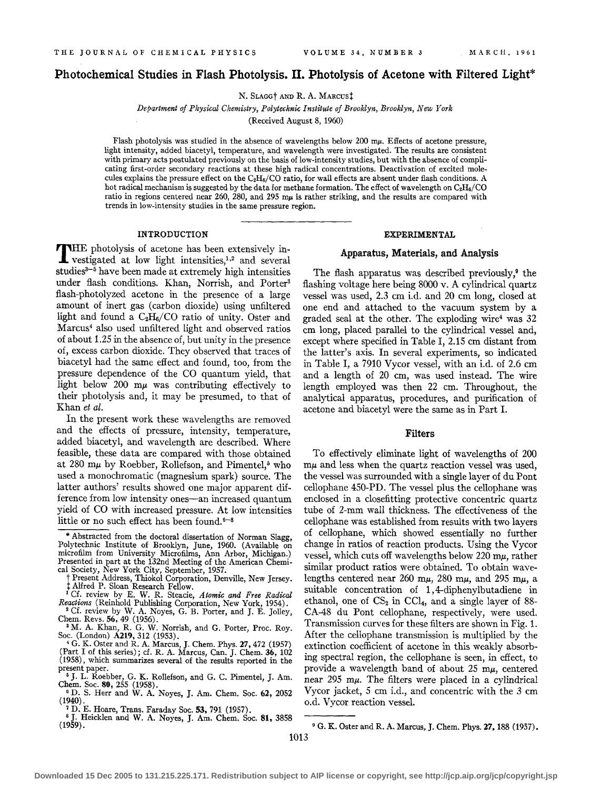# **Photochemical Studies in Flash Photolysis. II. Photolysis of Acetone with Filtered Light\***

N. SLAGGt AND R. A. MARcust

*Department of Physical Chemistry, Polytechnic Institute of Brooklyn, Brooklyn, New York* 

(Received August 8, 1960)

Flash photolysis was studied in the absence of wavelengths below 200  $m\mu$ . Effects of acetone pressure, light intensity, added biacetyl, temperature, and wavelength were investigated. The results are consistent with primary acts postulated previously on the basis of low-intensity studies, but with the absence of complicating first-order secondary reactions at these high radical concentrations. Deactivation of excited molecules explains the pressure effect on the  $C_2H_6/CO$  ratio, for wall effects are absent under flash conditions. A hot radical mechanism is suggested by the data for methane formation. The effect of wavelength on  $C_2H_6/CO$ ratio in regions centered near 260, 280, and 295 mu is rather striking, and the results are compared with trends in low-intensity studies in the same pressure region.

### INTRODUCTION

THE photolysis of acetone has been extensively investigated at low light intensities,<sup>1,2</sup> and several studies<sup>3-5</sup> have been made at extremely high intensities under flash conditions. Khan, Norrish, and Porter<sup>3</sup> flash-photolyzed acetone in the presence of a large amount of inert gas (carbon dioxide) using unfiltered light and found a  $C_2H_6/CO$  ratio of unity. Oster and Marcus4 also used unfiltered light and observed ratios of about 1.25 in the absence of, but unity in the presence of, excess carbon dioxide. They observed that traces of biacetyl had the same effect and found, too, from the pressure dependence of the CO quantum yield, that light below 200  $m\mu$  was contributing effectively to their photolysis and, it may be presumed, to that of Khan *et at.* 

In the present work these wavelengths are removed and the effects of pressure, intensity, temperature, added biacetyl, and wavelength are described. Where feasible, these data are compared with those obtained at 280 m $\mu$  by Roebber, Rollefson, and Pimentel,<sup>5</sup> who used a monochromatic (magnesium spark) source. The latter authors' results showed one major apparent difference from low intensity ones-an increased quantum yield of CO with increased pressure. At low intensities little or no such effect has been found.  $s-8$ 

- Chem. Revs. 56, 49 (1956). 3 M. A. Khan, R. G. W. Norrish, and G. Porter, Proc. Roy.
- Soc. (London) A219, 312 (1953). 4 G. K. Oster and R. A. Marcus, J. Chem. Phys. 27, 472 (1957)
- <sup>4</sup>G. K. Oster and R. A. Marcus, J. Chem. Phys. 27, 472 (1957)<br>{Part I of this series); cf. R. A. Marcus, Can. J. Chem. 36, 102 (1958), which summarizes several of the results reported in the present paper.<br>  $\frac{5}{3}$  J. L. Roebber, G. K. Rollefson, and G. C. Pimentel, J. Am.
- Chem. Soc. 80, 255 (1958). 6 D. S. Herr and W. A. Noyes, J. Am. Chem. Soc. 62, 2052
- (1940). <sup>1</sup>D. E. Hoare, Trans. Faraday Soc. 53, 791 (1957).

### EXPERIMENTAL

### Apparatus, Materials, and Analysis

The flash apparatus was described previously, $9$  the flashing voltage here being 8000 v. A cylindrical quartz vessel was used, 2.3 em i.d. and 20 em long, closed at one end and attached to the vacuum system by a graded seal at the other. The exploding wire<sup>4</sup> was  $32$ em long, placed parallel to the cylindrical vessel and, except where specified in Table I, 2.15 em distant from the latter's axis. In several experiments, so indicated in Table I, a 7910 Vycor vessel, with an i.d. of 2.6 em and a length of 20 em, was used instead. The wire length employed was then 22 em. Throughout, the analytical apparatus, procedures, and purification of acetone and biacetyl were the same as in Part I.

### Filters

To effectively eliminate light of wavelengths of 200  $m\mu$  and less when the quartz reaction vessel was used, the vessel was surrounded with a single layer of du Pont cellophane 450-PD. The vessel plus the cellophane was enclosed in a closefitting protective concentric quartz tube of 2-mm wall thickness. The effectiveness of the cellophane was established from results with two layers of cellophane, which showed essentially no further change in ratios of reaction products. Using the Vycor vessel, which cuts off wavelengths below 220 m $\mu$ , rather similar product ratios were obtained. To obtain wavelengths centered near 260 m $\mu$ , 280 m $\mu$ , and 295 m $\mu$ , a suitable concentration of 1, 4-diphenylbutadiene in ethanol, one of  $CS_2$  in CCl<sub>4</sub>, and a single layer of 88-CA-48 du Pont cellophane, respectively, were used. Transmission curves for these filters are shown in Fig. 1. After the cellophane transmission is multiplied by the extinction coefficient of acetone in this weakly absorbing spectral region, the cellophane is seen, in effect, to provide a wavelength band of about  $25 \text{ m}\mu$ , centered near  $295$  m $\mu$ . The filters were placed in a cylindrical Vycor jacket, *5* em i.d., and concentric with the 3 em o.d. Vycor reaction vessel.

<sup>\*</sup> Abstracted from the doctoral dissertation of Norman Slagg, Polytechnic Institute of Brooklyn, June, 1960. (Available on microfilm from University Microfilms, Ann Arbor, Michigan.) Presented in part at the 132nd Meeting of the American Chemi-

cal Society, New York City, September, 1957.<br>
† Present Address, Thiokol Corporation, Denville, New Jersey. <sup>t</sup>Present Address, Thiokol Corporation, Denville, New Jersey. <sup>t</sup>Alfred P. Sloan Research Fellow. 1 Cf. review by E. W. R. Steacie, *Atomic and Free Radical* 

*Reactions* (Reinhold Publishing Corporation, New York, 1954). 2 Cf. review by W. A. Noyes, G. B. Porter, and J. E. Jolley,

<sup>&</sup>lt;sup>8</sup> J. Heicklen and W. A. Noyes, J. Am. Chem. Soc. 81, 3858 (1959).

<sup>&</sup>lt;sup>9</sup> G. K. Oster and R. A. Marcus, J. Chem. Phys. 27, 188 (1957).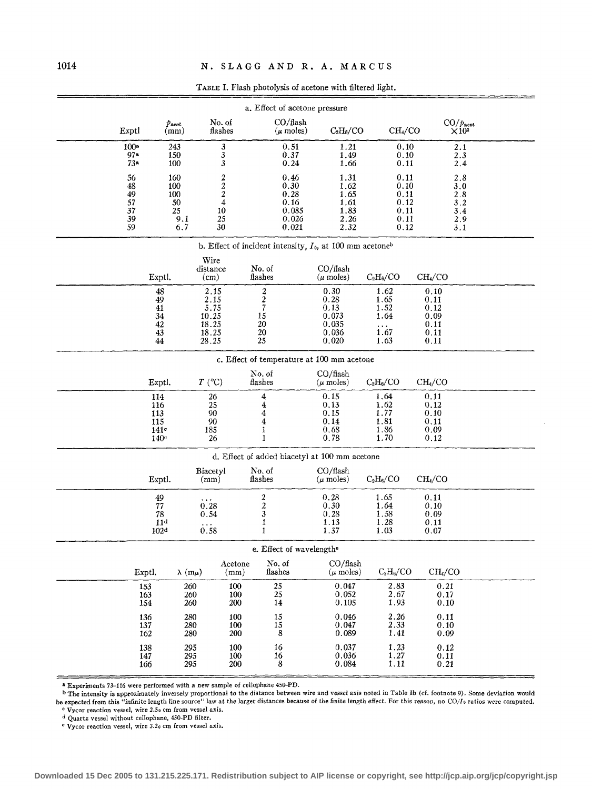|                                                             |                                                           |                                                          | $\mathbf{r}$ and $\mathbf{r}$ , $\mathbf{r}$ and $\mathbf{r}$ photolysis of accedite with flittled halfit. |                                                         |                                                          |                                                      |                                                      |                                               |  |  |  |  |
|-------------------------------------------------------------|-----------------------------------------------------------|----------------------------------------------------------|------------------------------------------------------------------------------------------------------------|---------------------------------------------------------|----------------------------------------------------------|------------------------------------------------------|------------------------------------------------------|-----------------------------------------------|--|--|--|--|
| a. Effect of acetone pressure                               |                                                           |                                                          |                                                                                                            |                                                         |                                                          |                                                      |                                                      |                                               |  |  |  |  |
| Exptl                                                       | $p_{\rm{acet}}$<br>(mm)                                   | No. of<br>flashes                                        |                                                                                                            | CO/flash<br>$(\mu \text{ moles})$                       | $C_2H_6/CO$                                              | CH <sub>4</sub> /CO                                  |                                                      | $CO/p_{\rm{acet}}$<br>$\times 10^{3}$         |  |  |  |  |
| 100 <sup>a</sup><br>97a<br>73a                              | 243<br>150<br>100                                         | 3<br>$\mathbf{3}$<br>3                                   |                                                                                                            | 0.51<br>0.37<br>0.24                                    | 1.21<br>1.49<br>1.66                                     | 0,10<br>0.10<br>0.11                                 |                                                      | $2.1\,$<br>2.3<br>2.4                         |  |  |  |  |
| 56<br>$\bf 48$<br>49<br>57<br>$\overline{37}$<br>39<br>59   | 160<br>100<br>100<br>50<br>25<br>9.1<br>6.7               | $\frac{2}{2}$<br>$\boldsymbol{4}$<br>10<br>$25\,$<br>30  |                                                                                                            | 0.46<br>0.30<br>0.28<br>0.16<br>0.085<br>0.026<br>0.021 | 1.31<br>1.62<br>1.65<br>1.61<br>1.83<br>2.26<br>2.32     | 0.11<br>0.10<br>0.11<br>0.12<br>0.11<br>0.11<br>0.12 |                                                      | 2.8<br>3.0<br>2.8<br>3.2<br>3.4<br>2.9<br>3.1 |  |  |  |  |
| b. Effect of incident intensity, $I_0$ , at 100 mm acetoneb |                                                           |                                                          |                                                                                                            |                                                         |                                                          |                                                      |                                                      |                                               |  |  |  |  |
|                                                             | Exptl.                                                    | Wire<br>distance<br>(cm)                                 | No. of<br>$_{\rm{flashes}}$                                                                                |                                                         | CO/ flash<br>$(\mu \text{ moles})$                       | $C_2H_6/CO$                                          | CH <sub>4</sub> /CO                                  |                                               |  |  |  |  |
|                                                             | 48<br>49<br>41<br>34<br>42<br>43<br>44                    | 2.15<br>2.15<br>5.75<br>10.25<br>18.25<br>18.25<br>28.25 | $\frac{2}{2}$<br>15<br>20<br>20<br>25                                                                      |                                                         | 0.30<br>0.28<br>0.13<br>0.073<br>0.035<br>0.036<br>0.020 | 1.62<br>1.65<br>1.52<br>1.64<br>i.67<br>1.63         | 0.10<br>0.11<br>0.12<br>0.09<br>0.11<br>0.11<br>0.11 |                                               |  |  |  |  |
| c. Effect of temperature at 100 mm acetone                  |                                                           |                                                          |                                                                                                            |                                                         |                                                          |                                                      |                                                      |                                               |  |  |  |  |
|                                                             | Exptl.                                                    | $T$ (°C)                                                 | No. of<br>flashes                                                                                          |                                                         | CO/flash<br>$(\mu \text{ moles})$                        | $C_2H_6/CO$                                          | CH <sub>4</sub> /CO                                  |                                               |  |  |  |  |
|                                                             | 114<br>116<br>113<br>115<br>141°<br>140 <sup>c</sup>      | 26<br>25<br>90<br>90<br>185<br>26                        | 4<br>$\frac{4}{4}$<br>$\overline{\mathbf{4}}$<br>1<br>1                                                    |                                                         | 0.15<br>0.13<br>0.15<br>0.14<br>0.68<br>0.78             | 1.64<br>1.62<br>1.77<br>1.81<br>1.86<br>1.70         | 0.11<br>0.12<br>0.10<br>0.11<br>0.09<br>0.12         |                                               |  |  |  |  |
|                                                             |                                                           |                                                          | d. Effect of added biacetyl at 100 mm acetone                                                              |                                                         |                                                          |                                                      |                                                      |                                               |  |  |  |  |
|                                                             | Exptl.                                                    | Biacetyl<br>(mm)                                         | No. of<br>flashes                                                                                          |                                                         | CO/ flash<br>$(\mu \text{ moles})$                       | $C_2H_6/CO$                                          | CH <sub>4</sub> /CO                                  |                                               |  |  |  |  |
|                                                             | 49<br>$77\,$<br>78<br>11 <sup>d</sup><br>102 <sup>d</sup> | $0.28$<br>0.54<br>0.58                                   | $\frac{2}{3}$<br>1<br>$\mathbf{1}$                                                                         |                                                         | 0.28<br>0.30<br>0.28<br>1.13<br>1.37                     | 1.65<br>1.64<br>1.58<br>1.28<br>1.03                 | 0.11<br>0.10<br>0.09<br>0.11<br>0.07                 |                                               |  |  |  |  |
| e. Effect of wavelength <sup>e</sup>                        |                                                           |                                                          |                                                                                                            |                                                         |                                                          |                                                      |                                                      |                                               |  |  |  |  |
|                                                             | Exptl.<br>$\lambda$ (m $\mu$ )                            |                                                          | No. of<br>Acetone<br>(mm)<br>flashes                                                                       |                                                         | CO/ flash<br>$(\mu \text{ moles})$                       | $C_2H_6/CO$                                          | CH <sub>4</sub> /CO                                  |                                               |  |  |  |  |
|                                                             | 153<br>163<br>154                                         | 260<br>260<br>260                                        | $\frac{25}{25}$<br>100<br>100<br>200<br>14                                                                 |                                                         | 0.047<br>0.052<br>0.105                                  | 2.83<br>2.67<br>1.93                                 | 0.21<br>0.17<br>$0.10\,$                             |                                               |  |  |  |  |
|                                                             | 136<br>137<br>162                                         | 280<br>280<br>280                                        | 100<br>15<br>15<br>100<br>200<br>8                                                                         |                                                         | 0.046<br>0.047<br>0.089                                  | 2.26<br>2.33<br>1.41                                 | 0.11<br>0.10<br>0.09                                 |                                               |  |  |  |  |
|                                                             | 138<br>147<br>166                                         | 295<br>295<br>295                                        | 100<br>16<br>100<br>16<br>8<br>200                                                                         |                                                         | 0.037<br>0.036<br>0.084                                  | 1.23<br>1.27<br>1.11                                 | 0.12<br>0.11<br>$0.21\,$                             |                                               |  |  |  |  |

TABLE I. Flash photolysis of acetone with filtered light.

<sup>a</sup> Experiments 73–116 were performed with a new sample of cellophane 450-PD.<br><sup>b</sup> The intensity is approximately inversely proportional to the distance between wire and vessel axis noted in Table Ib (cf. footnote 9). Some be expected from this "infinite length line source" law at the larger distances because of the finite length effect. For this reason, no CO/Io ratios were computed.

<sup>c</sup> Vycor reaction vessel, wire 2.50 cm from vessel axis. d Quartz vessel without cellophane, 450-PD filter.

**e Vycor reaction vessel, wire 3.2o em from vessel axis.**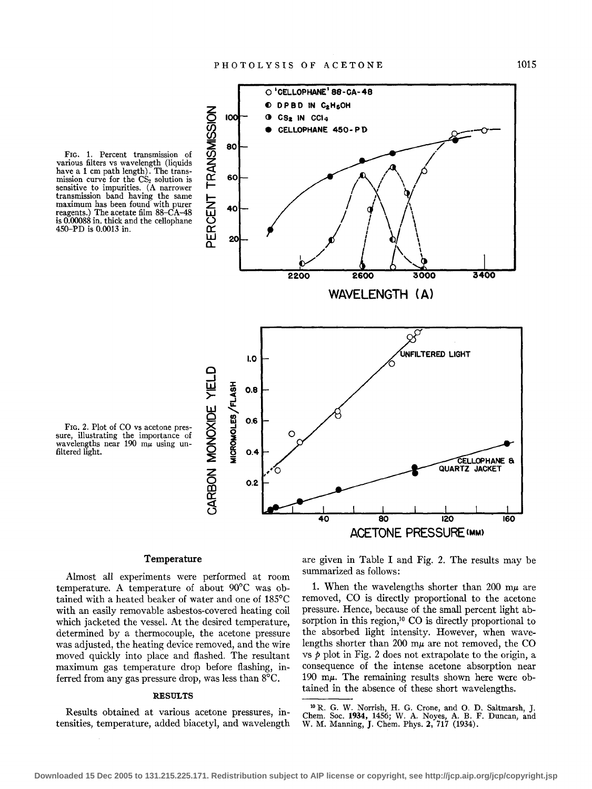



450-PD is 0.0013 in.

### **Temperature**

Almost all experiments were performed at room temperature. A temperature of about 90°C was obtained with a heated beaker of water and one of 185°C with an easily removable asbestos-covered heating coil which jacketed the vessel. At the desired temperature, determined by a thermocouple, the acetone pressure was adjusted, the heating device removed, and the wire moved quickly into place and flashed. The resultant maximum gas temperature drop before flashing, inferred from any gas pressure drop, was less than 8°C.

### **RESULTS**

Results obtained at various acetone pressures, intensities, temperature, added biacetyl, and wavelength are given in Table I and Fig. 2. The results may be summarized as follows:

1. When the wavelengths shorter than 200  $m\mu$  are removed, CO is directly proportional to the acetone pressure. Hence, because of the small percent light absorption in this region,<sup>10</sup> CO is directly proportional to the absorbed light intensity. However, when wavelengths shorter than 200 m $\mu$  are not removed, the CO vs  $p$  plot in Fig. 2 does not extrapolate to the origin, a consequence of the intense acetone absorption near 190 m $\mu$ . The remaining results shown here were obtained in the absence of these short wavelengths.

<sup>10</sup> R. G. W. Norrish, H. G. Crone, and 0. D. Saltmarsh, J. Chern. Soc. **1934,** 1456; W. A. Noyes, A. B. F. Duncan, and W. M. Manning, **J.** Chern. Phys. 2, 717 (1934).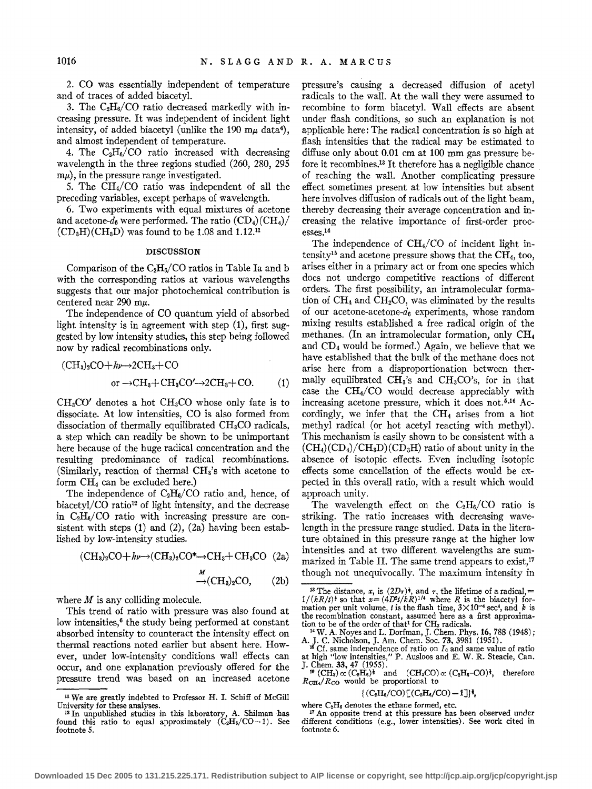2. CO was essentially independent of temperature and of traces of added biacetyl.

3. The  $C_2H_6/CO$  ratio decreased markedly with increasing pressure. It was independent of incident light intensity, of added biacetyl (unlike the 190 m $\mu$  data<sup>4</sup>), and almost independent of temperature.

4. The  $C_2H_6/CO$  ratio increased with decreasing wavelength in the three regions studied (260, 280, 295  $m\mu$ , in the pressure range investigated.

5. The CH4/CO ratio was independent of all the preceding variables, except perhaps of wavelength.

6. Two experiments with equal mixtures of acetone and acetone- $d_6$  were performed. The ratio  $(CD_4)(CH_4)$  $(CD_3H)(CH_3D)$  was found to be 1.08 and 1.12.<sup>11</sup>

### DISCUSSION

Comparison of the  $C_2H_6/CO$  ratios in Table Ia and b with the corresponding ratios at various wavelengths suggests that our major photochemical contribution is centered near 290 m $\mu$ .

The independence of CO quantum yield of absorbed light intensity is in agreement with step (1), first suggested by low intensity studies, this step being followed now by radical recombinations only.

$$
(CH3)2CO+ h\nu \rightarrow 2CH3+CO
$$
  
or  $\rightarrow CH3+CH3CO' \rightarrow 2CH3+CO.$  (1)

 $CH<sub>3</sub>CO'$  denotes a hot  $CH<sub>3</sub>CO$  whose only fate is to dissociate. At low intensities, CO is also formed from dissociation of thermally equilibrated  $CH<sub>3</sub>CO$  radicals, a step which can readily be shown to be unimportant here because of the huge radical concentration and the resulting predominance of radical recombinations. (Similarly, reaction of thermal CHs's with acetone to form CH4 can be excluded here.)

The independence of  $C_2H_6/CO$  ratio and, hence, of biacetyl/CO ratio12 of light intensity, and the decrease in  $C_2H_6/CO$  ratio with increasing pressure are consistent with steps (1) and (2), (2a) having been established by low-intensity studies.

$$
(CH3)2CO + h\nu \rightarrow (CH3)2CO* \rightarrow CH3+CH3CO (2a)
$$

$$
\stackrel{M}{\rightarrow} (\text{CH}_3)_2\text{CO}, \qquad (2b)
$$

where *M* is any colliding molecule.

This trend of ratio with pressure was also found at low intensities,<sup>6</sup> the study being performed at constant absorbed intensity to counteract the intensity effect on thermal reactions noted earlier but absent here. However, under low-intensity conditions wall effects can occur, and one explanation previously offered for the pressure trend was based on an increased acetone pressure's causing a decreased diffusion of acetyl radicals to the wall. At the wall they were assumed to recombine to form biacetyl. Wall effects are absent under flash conditions, so such an explanation is not applicable here: The radical concentration is so high at flash intensities that the radical may be estimated to diffuse only about 0.01 em at 100 mm gas pressure before it recombines.13 It therefore has a negligible chance of reaching the wall. Another complicating pressure effect sometimes present at low intensities but absent here involves diffusion of radicals out of the light beam, thereby decreasing their average concentration and increasing the relative importance of first-order processes.14

The independence of  $CH<sub>4</sub>/CO$  of incident light intensity<sup>15</sup> and acetone pressure shows that the  $CH<sub>4</sub>$ , too, arises either in a primary act or from one species which does not undergo competitive reactions of different orders. The first possibility, an intramolecular formation of  $CH<sub>4</sub>$  and  $CH<sub>2</sub>CO$ , was eliminated by the results of our acetone-acetone- $d_6$  experiments, whose random mixing results established a free radical origin of the methanes. (In an intramolecular formation, only CH<sup>4</sup> and CD4 would be formed.) Again, we believe that we have established that the bulk of the methane does not arise here from a disproportionation between thermally equilibrated  $CH<sub>3</sub>'s$  and  $CH<sub>3</sub>CO's$ , for in that case the CH4/CO would decrease appreciably with increasing acetone pressure, which it does not.<sup>5,16</sup> Accordingly, we infer that the  $CH<sub>4</sub>$  arises from a hot methyl radical (or hot acetyl reacting with methyl). This mechanism is easily shown to be consistent with a  $(CH<sub>4</sub>)(CD<sub>4</sub>)/CH<sub>3</sub>D)(CD<sub>3</sub>H)$  ratio of about unity in the absence of isotopic effects. Even including isotopic effects some cancellation of the effects would be expected in this overall ratio, with a result which would approach unity.

The wavelength effect on the  $C_2H_6/CO$  ratio is striking. The ratio increases with decreasing wavelength in the pressure range studied. Data in the literature obtained in this pressure range at the higher low intensities and at two different wavelengths are summarized in Table II. The same trend appears to exist, 17 though not unequivocally. The maximum intensity in

### $\{ (C_2H_6/CO) [ (C_2H_6/CO) -1 ] \}$ <sup>1</sup>,

 $n$  We are greatly indebted to Professor H. I. Schiff of McGill University for these analyses.

University for these analyses.<br><sup>12</sup> In unpublished studies in this laboratory, A. Shilman has found this ratio to equal approximately  $(C_2H_6/CO-1)$ . See footnote 5.

<sup>&</sup>lt;sup>13</sup> The distance, *x*, is  $(2Dr)^{\dagger}$ , and *r*, the lifetime of a radical, =  $1/(kR/t)^{\dagger}$  so that  $x = (4D^2t/kR)^{1/4}$  where *R* is the biacetyl formation per unit volume, *t* is the flash time,  $3 \times 10^{-4}$  sec<sup>4</sup>, and *k* is the recombination constant, assumed here as a first approximation to be of the order of that<sup>1</sup> for CH<sub>3</sub> radicals. tion to be of the order of that<sup>1</sup> for CH<sub>3</sub> radicals. <sup>1</sup> W. A. Noyes and L. Dorfman, J. Chem. Phys. **16**, 788 (1948);

A. J. C. Nicholson, J. Am. Chem. Soc. 73, 3981 (1951).<br><sup>15</sup> Cf. same independence of ratio on  $I_0$  and same value of ratio at high "low intensities," P. Ausloos and E. W. R. Steacie, Can. J. Chem. 33, 47 (1955). 11 Autores and L. W. At Steather, callis  $^{16}$  (CH<sub>s</sub>)  $\propto$  (C<sub>2</sub>H<sub>6</sub>)<sup>i</sup> and (CH<sub>s</sub>CO) $\propto$  (C<sub>2</sub>H<sub>6</sub>–CO)<sup>j</sup>, therefore

 $R_{\text{CH}4}/R_{\text{CO}}$  would be proportional to

where  $C_2H_6$  denotes the ethane formed, etc. <sup>17</sup> An opposite trend at this pressure has been observed under different conditions (e.g., lower intensities). See work cited in footnote 6.